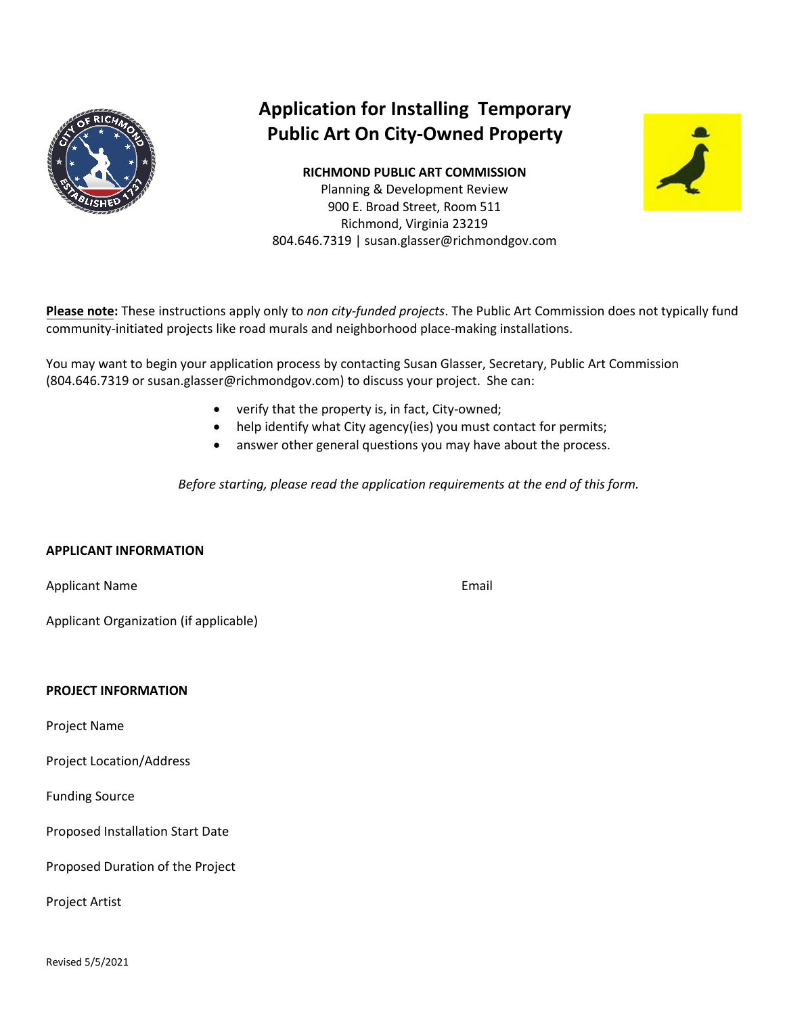

# **Application for Installing Temporary Public Art On City-Owned Property**

**RICHMOND PUBLIC ART COMMISSION** Planning & Development Review 900 E. Broad Street, Room 511 Richmond, Virginia 23219 804.646.7319 | susan.glasser@richmondgov.com



**Please note:** These instructions apply only to *non city-funded projects*. The Public Art Commission does not typically fund community-initiated projects like road murals and neighborhood place-making installations.

You may want to begin your application process by contacting Susan Glasser, Secretary, Public Art Commission (804.646.7319 or susan.glasser@richmondgov.com) to discuss your project. She can:

- verify that the property is, in fact, City-owned;
- help identify what City agency(ies) you must contact for permits;
- answer other general questions you may have about the process.

*Before starting, please read the application requirements at the end of this form.*

### **APPLICANT INFORMATION**

Applicant Name

Applicant Organization (if applicable)

### **PROJECT INFORMATION**

Project Name

Project Location/Address

Funding Source

Proposed Installation Start Date

Proposed Duration of the Project

Project Artist

Revised 5/5/2021

Email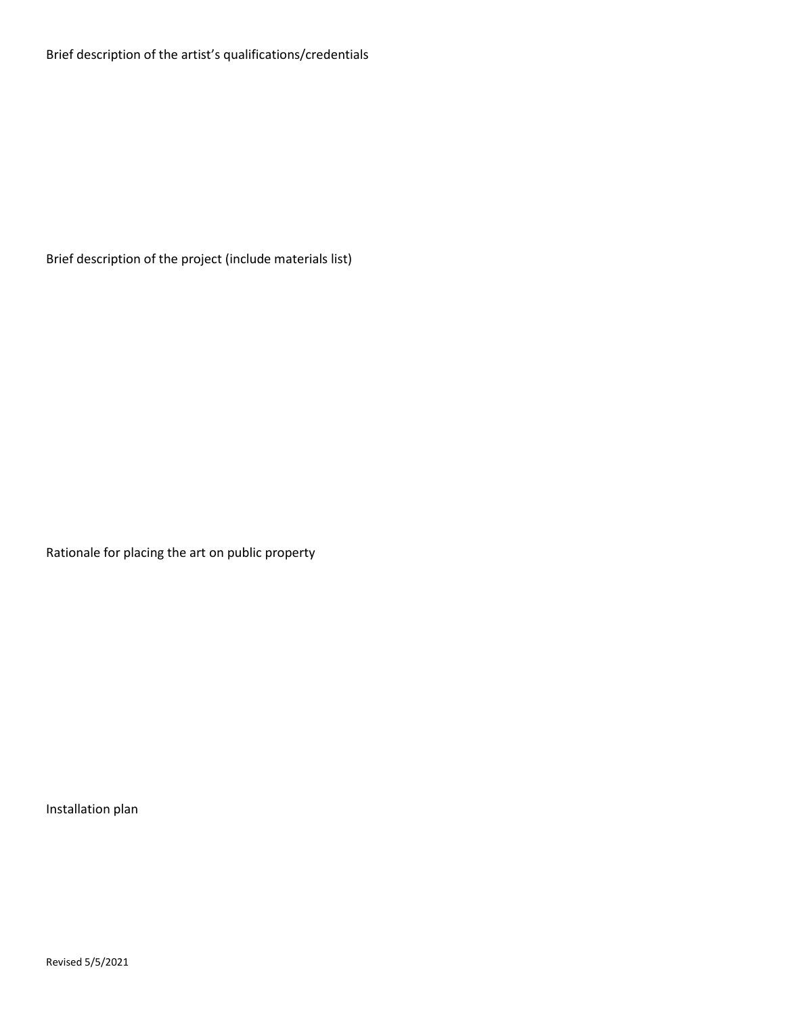Brief description of the project (include materials list)

Rationale for placing the art on public property

Installation plan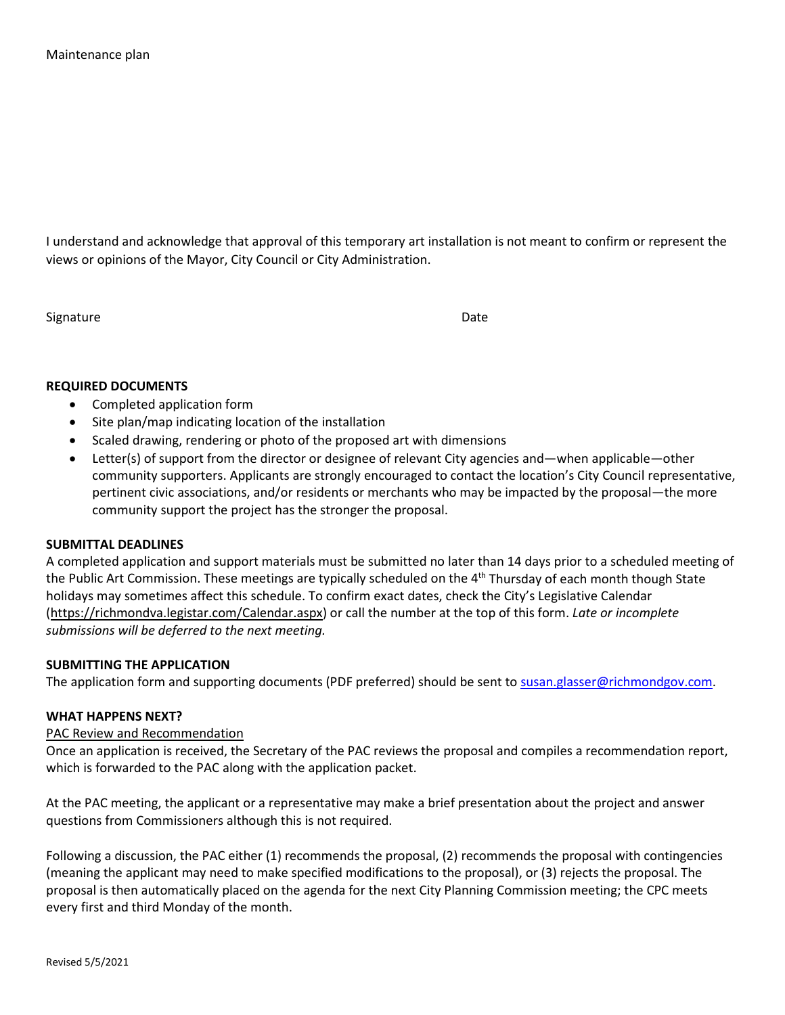I understand and acknowledge that approval of this temporary art installation is not meant to confirm or represent the views or opinions of the Mayor, City Council or City Administration.

Signature Date

### **REQUIRED DOCUMENTS**

- Completed application form
- Site plan/map indicating location of the installation
- Scaled drawing, rendering or photo of the proposed art with dimensions
- Letter(s) of support from the director or designee of relevant City agencies and—when applicable—other community supporters. Applicants are strongly encouraged to contact the location's City Council representative, pertinent civic associations, and/or residents or merchants who may be impacted by the proposal—the more community support the project has the stronger the proposal.

### **SUBMITTAL DEADLINES**

A completed application and support materials must be submitted no later than 14 days prior to a scheduled meeting of the Public Art Commission. These meetings are typically scheduled on the 4<sup>th</sup> Thursday of each month though State holidays may sometimes affect this schedule. To confirm exact dates, check the City's Legislative Calendar [\(https://richmondva.legistar.com/Calendar.aspx\)](https://richmondva.legistar.com/Calendar.aspx) or call the number at the top of this form. *Late or incomplete submissions will be deferred to the next meeting.*

### **SUBMITTING THE APPLICATION**

The application form and supporting documents (PDF preferred) should be sent to [susan.glasser@richmondgov.com.](mailto:susan.glasser@richmondgov.com)

### **WHAT HAPPENS NEXT?**

#### PAC Review and Recommendation

Once an application is received, the Secretary of the PAC reviews the proposal and compiles a recommendation report, which is forwarded to the PAC along with the application packet.

At the PAC meeting, the applicant or a representative may make a brief presentation about the project and answer questions from Commissioners although this is not required.

Following a discussion, the PAC either (1) recommends the proposal, (2) recommends the proposal with contingencies (meaning the applicant may need to make specified modifications to the proposal), or (3) rejects the proposal. The proposal is then automatically placed on the agenda for the next City Planning Commission meeting; the CPC meets every first and third Monday of the month.